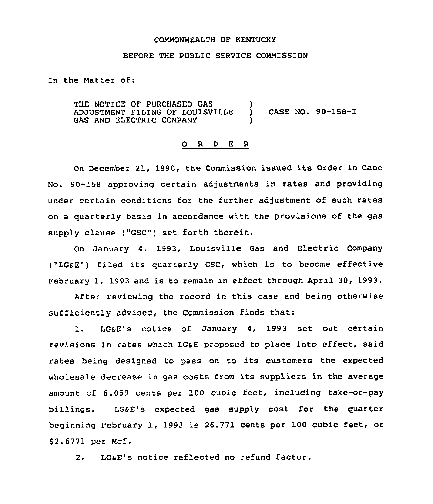### COMMONWEALTH OF KENTUCKY

#### BEFORE THE PUBLIC SERVICE COMMISSION

In the Matter of:

THE NOTICE OF PURCHASED GAS ADJUSTMENT FILING OF LOUISVILLE GAS AND ELECTRIC COMPANY ) ) CASE NO. 90-158-I )

### 0 <sup>R</sup> <sup>D</sup> E <sup>R</sup>

On December 21, 1990, the Commission issued its Order in Case No. 90-158 approving certain adjustments in rates and providing under certain conditions for the further adjustment of such rates on a quarterly basis in accordance with the provisions of the gas supply clause ("GSC") set forth therein.

On January 4, 1993, Louisville Gas and Electric Company ("LGsE") filed its quarterly GSC, which is to become effective February 1, 1993 and is to remain in effect through April 30, 1993.

After reviewing the record in this case and being otherwise sufficiently advised, the Commission finds that:

1. LGsE's notice of January 4, 1993 set out certain revisions in rates which LGsE proposed to place into effect, said rates being designed to pass on to its customers the expected wholesale decrease in gas costs from its suppliers in the average amount of 6.059 cents per 100 cubic feet, including take-or-pay billings. LG&E's expected gas supply cost for the quarter beginning February 1, 1993 is 26.771 cents per 100 cubic feet, or S2.6771 per MCf.

2. LGsE's notice reflected no refund factor.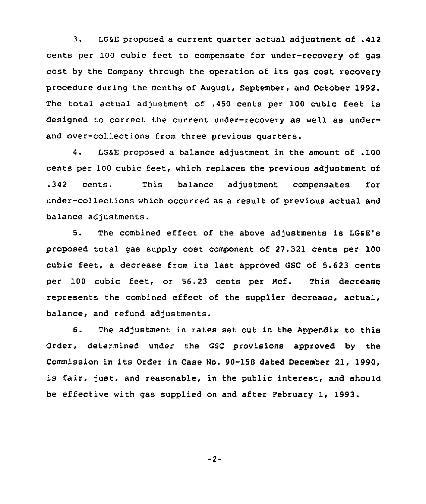3. LGSE proposed a current quarter actual adjustment of .412 cents per 100 cubic feet to compensate for under-recovery of gas cost by the Company through the operation of its gas cost recovery procedure during the months of August, September, and October 1992. The total actual adjustment of .450 cents per 100 cubic feet is designed to correct the current under-recovery as well as underand over-collections from three previous quarters.

4. LGSE proposed a balance adjustment in the amount of .100 cents per 100 cubic feet, which replaces the previous adjustment of .342 cents. This balance adjustment compensates for under-collections which occurred as a result of previous actual and balance adjustments.

5. The combined effect of the above adjustments is LGsE'B proposed total gas supply cost component of 27.321 cents per 100 cubic feet, <sup>a</sup> decrease from its last approved GSC of 5.623 cents per 100 cubic feet, or 56.23 cents per Mcf. This decrease represents the combined effect of the supplier decrease, actual, balance, and refund adjustments.

6. The adjustment in rates set out in the Appendix to this Order, determined under the GSC provisions approved by the Commission in its Order in Case No. 90-158 dated December 21, 1990, is fair, just, and reasonable, in the public interest, and should be effective with gas supplied on and after February 1, 1993.

 $-2-$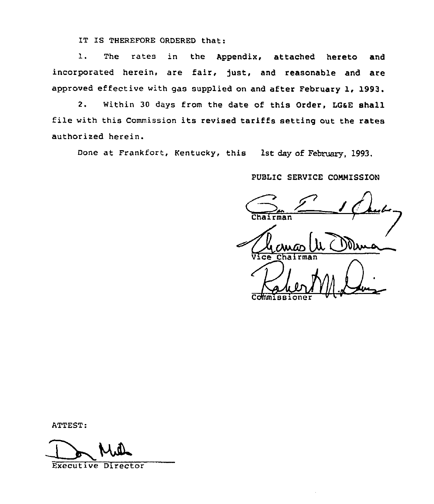IT IS THEREFORE ORDERED that:

1. The rates in the Appendix, attached hereto and incorporated herein, are fair, just, and reasonable and are approved effective with gas supplied on and after February 1, 1993.

2. Within 30 days from the date of this Order, LG&E shall file with this Commission its revised tariffs setting out the rates authorized herein.

Done at Frankfort, Kentucky, this 1st day of February, 1993.

PUBLIC SERVICE COMMISSION

rman Vice Chair  $\Lambda$ Commissione

ATTEST:

Executive Director